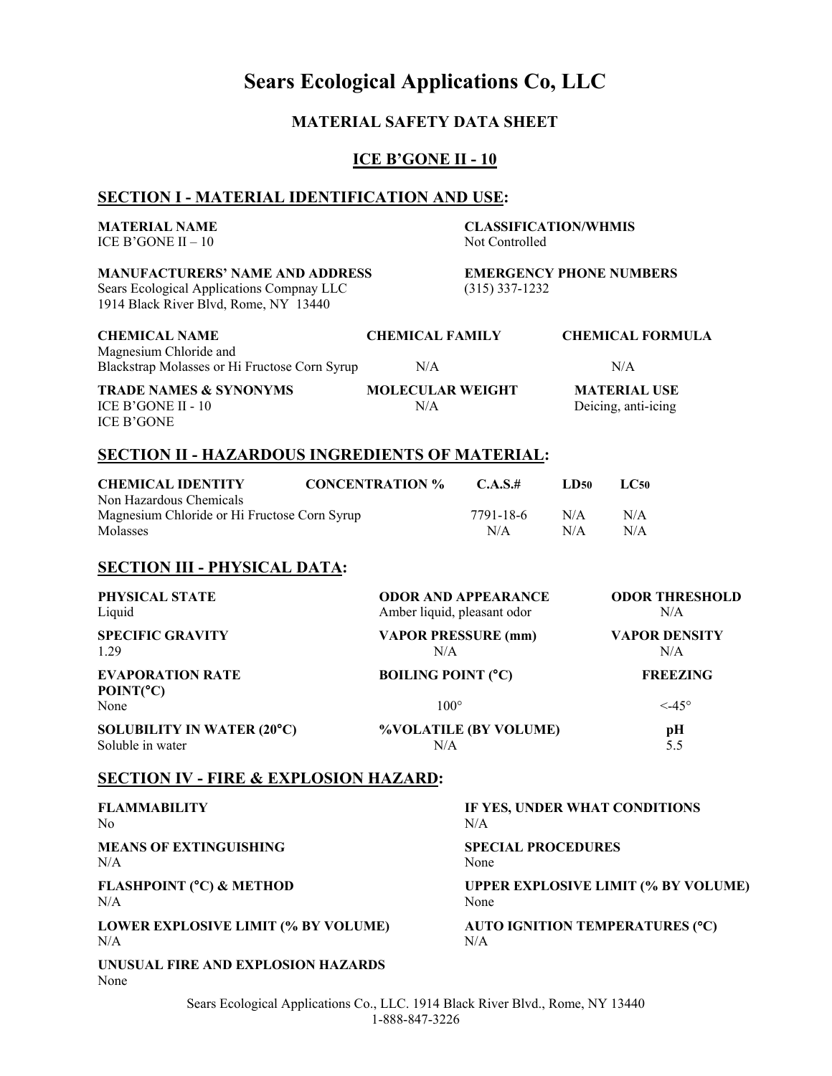# **Sears Ecological Applications Co, LLC**

# **MATERIAL SAFETY DATA SHEET**

## **ICE B'GONE II - 10**

# **SECTION I - MATERIAL IDENTIFICATION AND USE:**

| <b>MATERIAL NAME</b><br>ICE B'GONE II $-10$                                                                                  |                             | <b>CLASSIFICATION/WHMIS</b><br>Not Controlled |                                                    |                                            |                                      |                                            |
|------------------------------------------------------------------------------------------------------------------------------|-----------------------------|-----------------------------------------------|----------------------------------------------------|--------------------------------------------|--------------------------------------|--------------------------------------------|
| <b>MANUFACTURERS' NAME AND ADDRESS</b><br>Sears Ecological Applications Compnay LLC<br>1914 Black River Blvd, Rome, NY 13440 |                             |                                               | <b>EMERGENCY PHONE NUMBERS</b><br>$(315)$ 337-1232 |                                            |                                      |                                            |
| <b>CHEMICAL NAME</b>                                                                                                         |                             | <b>CHEMICAL FAMILY</b>                        |                                                    |                                            | <b>CHEMICAL FORMULA</b>              |                                            |
| Magnesium Chloride and<br>Blackstrap Molasses or Hi Fructose Corn Syrup                                                      |                             | N/A                                           |                                                    |                                            | N/A                                  |                                            |
| <b>TRADE NAMES &amp; SYNONYMS</b><br>ICE B'GONE II - 10<br><b>ICE B'GONE</b>                                                 |                             | <b>MOLECULAR WEIGHT</b><br>N/A                |                                                    | <b>MATERIAL USE</b><br>Deicing, anti-icing |                                      |                                            |
| <b>SECTION II - HAZARDOUS INGREDIENTS OF MATERIAL:</b>                                                                       |                             |                                               |                                                    |                                            |                                      |                                            |
| <b>CHEMICAL IDENTITY</b><br>Non Hazardous Chemicals                                                                          |                             | <b>CONCENTRATION %</b>                        | C.A.S.#                                            | LD50                                       | LC50                                 |                                            |
| Magnesium Chloride or Hi Fructose Corn Syrup<br>Molasses                                                                     |                             |                                               | 7791-18-6<br>N/A                                   | N/A<br>N/A                                 | N/A<br>N/A                           |                                            |
| <b>SECTION III - PHYSICAL DATA:</b>                                                                                          |                             |                                               |                                                    |                                            |                                      |                                            |
| PHYSICAL STATE<br>Liquid                                                                                                     | Amber liquid, pleasant odor |                                               | <b>ODOR AND APPEARANCE</b>                         |                                            | <b>ODOR THRESHOLD</b><br>N/A         |                                            |
| <b>SPECIFIC GRAVITY</b><br>1.29                                                                                              |                             | N/A                                           | <b>VAPOR PRESSURE (mm)</b>                         | <b>VAPOR DENSITY</b><br>N/A                |                                      |                                            |
| <b>EVAPORATION RATE</b><br>POINT(°C)<br>None                                                                                 |                             | <b>BOILING POINT (°C)</b><br>$100^\circ$      |                                                    |                                            | <b>FREEZING</b><br>$<$ 45 $^{\circ}$ |                                            |
| <b>SOLUBILITY IN WATER (20°C)</b><br>Soluble in water                                                                        |                             | %VOLATILE (BY VOLUME)<br>N/A                  |                                                    | pН<br>5.5                                  |                                      |                                            |
| <b>SECTION IV - FIRE &amp; EXPLOSION HAZARD:</b>                                                                             |                             |                                               |                                                    |                                            |                                      |                                            |
| <b>FLAMMABILITY</b><br>No                                                                                                    |                             |                                               | IF YES, UNDER WHAT CONDITIONS<br>N/A               |                                            |                                      |                                            |
| <b>MEANS OF EXTINGUISHING</b><br>N/A                                                                                         |                             |                                               | <b>SPECIAL PROCEDURES</b><br>None                  |                                            |                                      |                                            |
| FLASHPOINT (°C) & METHOD<br>N/A                                                                                              |                             |                                               | None                                               |                                            |                                      | <b>UPPER EXPLOSIVE LIMIT (% BY VOLUME)</b> |
| LOWER EXPLOSIVE LIMIT (% BY VOLUME)<br>N/A                                                                                   |                             |                                               | AUTO IGNITION TEMPERATURES (°C)<br>N/A             |                                            |                                      |                                            |
| UNUSUAL FIRE AND EXPLOSION HAZARDS<br>None                                                                                   |                             |                                               |                                                    |                                            |                                      |                                            |

Sears Ecological Applications Co., LLC. 1914 Black River Blvd., Rome, NY 13440 1-888-847-3226